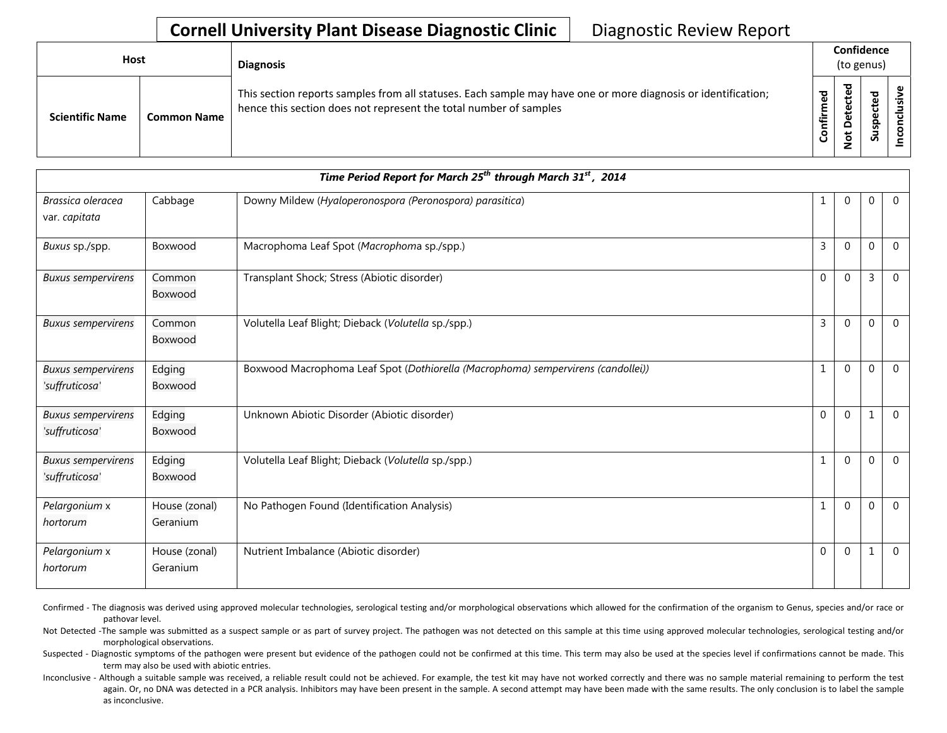## **Cornell University Plant Disease Diagnostic Clinic** | Diagnostic Review Report

| <b>Host</b>            |                    | <b>Diagnosis</b>                                                                                                                                                                   | Confidence<br>(to genus) |                                   |                            |         |
|------------------------|--------------------|------------------------------------------------------------------------------------------------------------------------------------------------------------------------------------|--------------------------|-----------------------------------|----------------------------|---------|
| <b>Scientific Name</b> | <b>Common Name</b> | This section reports samples from all statuses. Each sample may have one or more diagnosis or identification;<br>hence this section does not represent the total number of samples | ъ<br>٤<br>nfir<br>ပ      | ъ<br>ይ<br>ں<br>ይ<br>۵<br>۔ ب<br>؋ | ᅙ<br>Φ<br>ω<br>요<br>s<br>S | 2.<br>g |

| Time Period Report for March 25 <sup>th</sup> through March 31 <sup>st</sup> , 2014 |                           |                                                                                  |              |              |              |                |  |
|-------------------------------------------------------------------------------------|---------------------------|----------------------------------------------------------------------------------|--------------|--------------|--------------|----------------|--|
| Brassica oleracea<br>var. capitata                                                  | Cabbage                   | Downy Mildew (Hyaloperonospora (Peronospora) parasitica)                         |              | 0            | $\mathbf{0}$ | $\overline{0}$ |  |
| Buxus sp./spp.                                                                      | Boxwood                   | Macrophoma Leaf Spot (Macrophoma sp./spp.)                                       | 3            | $\Omega$     | $\mathbf 0$  | $\Omega$       |  |
| <b>Buxus sempervirens</b>                                                           | Common<br>Boxwood         | Transplant Shock; Stress (Abiotic disorder)                                      | 0            | $\mathbf{0}$ | 3            | $\Omega$       |  |
| <b>Buxus sempervirens</b>                                                           | Common<br>Boxwood         | Volutella Leaf Blight; Dieback (Volutella sp./spp.)                              | 3            | $\mathbf{0}$ | $\mathbf{0}$ | $\overline{0}$ |  |
| <b>Buxus sempervirens</b><br>'suffruticosa'                                         | Edging<br>Boxwood         | Boxwood Macrophoma Leaf Spot (Dothiorella (Macrophoma) sempervirens (candollei)) | 1            | $\Omega$     | $\Omega$     | $\Omega$       |  |
| <b>Buxus sempervirens</b><br>'suffruticosa'                                         | Edging<br>Boxwood         | Unknown Abiotic Disorder (Abiotic disorder)                                      | $\mathbf 0$  | $\mathbf 0$  | 1            | $\overline{0}$ |  |
| <b>Buxus sempervirens</b><br>'suffruticosa'                                         | Edging<br>Boxwood         | Volutella Leaf Blight; Dieback (Volutella sp./spp.)                              | $\mathbf{1}$ | $\mathbf{0}$ | $\mathbf{0}$ | $\overline{0}$ |  |
| Pelargonium x<br>hortorum                                                           | House (zonal)<br>Geranium | No Pathogen Found (Identification Analysis)                                      |              | $\Omega$     | $\mathbf{0}$ | $\overline{0}$ |  |
| Pelargonium x<br>hortorum                                                           | House (zonal)<br>Geranium | Nutrient Imbalance (Abiotic disorder)                                            | 0            | $\mathbf 0$  | $\mathbf{1}$ | $\overline{0}$ |  |

Confirmed - The diagnosis was derived using approved molecular technologies, serological testing and/or morphological observations which allowed for the confirmation of the organism to Genus, species and/or race or pathovar level.

Not Detected -The sample was submitted as a suspect sample or as part of survey project. The pathogen was not detected on this sample at this time using approved molecular technologies, serological testing and/or morphological observations.

Suspected - Diagnostic symptoms of the pathogen were present but evidence of the pathogen could not be confirmed at this time. This term may also be used at the species level if confirmations cannot be made. This term may also be used with abiotic entries.

Inconclusive - Although a suitable sample was received, a reliable result could not be achieved. For example, the test kit may have not worked correctly and there was no sample material remaining to perform the test again. Or, no DNA was detected in a PCR analysis. Inhibitors may have been present in the sample. A second attempt may have been made with the same results. The only conclusion is to label the sample as inconclusive.